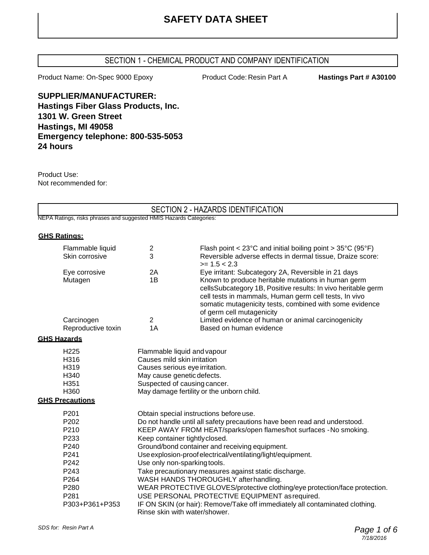## **SAFETY DATA SHEET**

#### SECTION 1 - CHEMICAL PRODUCT AND COMPANY IDENTIFICATION

Product Name: On-Spec 9000 Epoxy **Product Code: Resin Part A** Hastings Part # A30100

**SUPPLIER/MANUFACTURER: Hastings Fiber Glass Products, Inc. 1301 W. Green Street Hastings, MI 49058 Emergency telephone: 800-535-5053 24 hours**

Product Use: Not recommended for:

|                                                                    |                                                                   | SECTION 2 - HAZARDS IDENTIFICATION                                                                                                                                                                                                                                   |
|--------------------------------------------------------------------|-------------------------------------------------------------------|----------------------------------------------------------------------------------------------------------------------------------------------------------------------------------------------------------------------------------------------------------------------|
| NEPA Ratings, risks phrases and suggested HMIS Hazards Categories: |                                                                   |                                                                                                                                                                                                                                                                      |
|                                                                    |                                                                   |                                                                                                                                                                                                                                                                      |
| <b>GHS Ratings:</b>                                                |                                                                   |                                                                                                                                                                                                                                                                      |
| Flammable liquid                                                   | 2                                                                 | Flash point < $23^{\circ}$ C and initial boiling point > $35^{\circ}$ C (95 $^{\circ}$ F)                                                                                                                                                                            |
| Skin corrosive                                                     | 3                                                                 | Reversible adverse effects in dermal tissue, Draize score:<br>$>= 1.5 < 2.3$                                                                                                                                                                                         |
| Eye corrosive                                                      | 2A                                                                | Eye irritant: Subcategory 2A, Reversible in 21 days                                                                                                                                                                                                                  |
| Mutagen                                                            | 1B                                                                | Known to produce heritable mutations in human germ<br>cellsSubcategory 1B, Positive results: In vivo heritable germ<br>cell tests in mammals, Human germ cell tests, In vivo<br>somatic mutagenicity tests, combined with some evidence<br>of germ cell mutagenicity |
| Carcinogen                                                         | $\overline{2}$                                                    | Limited evidence of human or animal carcinogenicity                                                                                                                                                                                                                  |
| Reproductive toxin                                                 | 1A                                                                | Based on human evidence                                                                                                                                                                                                                                              |
| <b>GHS Hazards</b>                                                 |                                                                   |                                                                                                                                                                                                                                                                      |
| H <sub>225</sub>                                                   |                                                                   | Flammable liquid and vapour                                                                                                                                                                                                                                          |
| H316                                                               | Causes mild skin irritation                                       |                                                                                                                                                                                                                                                                      |
| H319                                                               | Causes serious eye irritation.                                    |                                                                                                                                                                                                                                                                      |
| H340                                                               | May cause genetic defects.                                        |                                                                                                                                                                                                                                                                      |
| H351                                                               | Suspected of causing cancer.                                      |                                                                                                                                                                                                                                                                      |
| H360                                                               | May damage fertility or the unborn child.                         |                                                                                                                                                                                                                                                                      |
| <b>GHS Precautions</b>                                             |                                                                   |                                                                                                                                                                                                                                                                      |
| P201                                                               |                                                                   | Obtain special instructions before use.                                                                                                                                                                                                                              |
| P202                                                               |                                                                   | Do not handle until all safety precautions have been read and understood.                                                                                                                                                                                            |
| P210                                                               | KEEP AWAY FROM HEAT/sparks/open flames/hot surfaces - No smoking. |                                                                                                                                                                                                                                                                      |
| P233                                                               | Keep container tightlyclosed.                                     |                                                                                                                                                                                                                                                                      |
| P240                                                               | Ground/bond container and receiving equipment.                    |                                                                                                                                                                                                                                                                      |
| P241                                                               | Use explosion-proof electrical/ventilating/light/equipment.       |                                                                                                                                                                                                                                                                      |
| P242                                                               | Use only non-sparking tools.                                      |                                                                                                                                                                                                                                                                      |
| P243                                                               | Take precautionary measures against static discharge.             |                                                                                                                                                                                                                                                                      |
| P264                                                               |                                                                   | WASH HANDS THOROUGHLY after handling.                                                                                                                                                                                                                                |
| P280                                                               |                                                                   | WEAR PROTECTIVE GLOVES/protective clothing/eye protection/face protection.                                                                                                                                                                                           |
| P281                                                               |                                                                   | USE PERSONAL PROTECTIVE EQUIPMENT as required.                                                                                                                                                                                                                       |
| P303+P361+P353                                                     |                                                                   | IF ON SKIN (or hair): Remove/Take off immediately all contaminated clothing.<br>Rinse skin with water/shower.                                                                                                                                                        |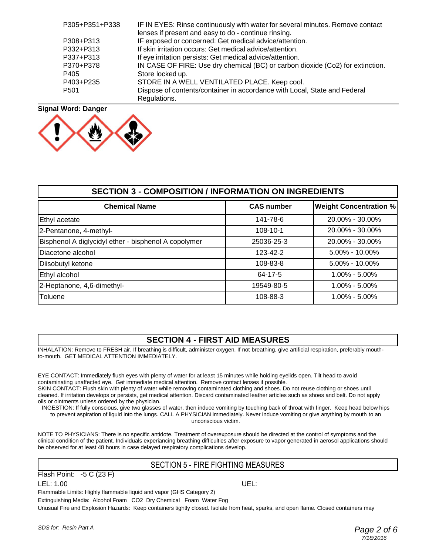| P305+P351+P338   | IF IN EYES: Rinse continuously with water for several minutes. Remove contact  |
|------------------|--------------------------------------------------------------------------------|
|                  | lenses if present and easy to do - continue rinsing.                           |
| P308+P313        | IF exposed or concerned: Get medical advice/attention.                         |
| P332+P313        | If skin irritation occurs: Get medical advice/attention.                       |
| P337+P313        | If eye irritation persists: Get medical advice/attention.                      |
| P370+P378        | IN CASE OF FIRE: Use dry chemical (BC) or carbon dioxide (Co2) for extinction. |
| P405             | Store locked up.                                                               |
| P403+P235        | STORE IN A WELL VENTILATED PLACE. Keep cool.                                   |
| P <sub>501</sub> | Dispose of contents/container in accordance with Local, State and Federal      |
|                  | Regulations.                                                                   |

#### **Signal Word: Danger**



| <b>SECTION 3 - COMPOSITION / INFORMATION ON INGREDIENTS</b> |                   |                               |  |
|-------------------------------------------------------------|-------------------|-------------------------------|--|
| <b>Chemical Name</b>                                        | <b>CAS number</b> | <b>Weight Concentration %</b> |  |
| Ethyl acetate                                               | 141-78-6          | 20.00% - 30.00%               |  |
| 2-Pentanone, 4-methyl-                                      | 108-10-1          | 20.00% - 30.00%               |  |
| Bisphenol A diglycidyl ether - bisphenol A copolymer        | 25036-25-3        | 20.00% - 30.00%               |  |
| Diacetone alcohol                                           | 123-42-2          | $5.00\% - 10.00\%$            |  |
| Diisobutyl ketone                                           | 108-83-8          | $5.00\% - 10.00\%$            |  |
| Ethyl alcohol                                               | 64-17-5           | $1.00\% - 5.00\%$             |  |
| 2-Heptanone, 4,6-dimethyl-                                  | 19549-80-5        | $1.00\% - 5.00\%$             |  |
| Toluene                                                     | 108-88-3          | $1.00\% - 5.00\%$             |  |

#### **SECTION 4 - FIRST AID MEASURES**

INHALATION: Remove to FRESH air. If breathing is difficult, administer oxygen. If not breathing, give artificial respiration, preferably mouthto-mouth. GET MEDICAL ATTENTION IMMEDIATELY.

EYE CONTACT: Immediately flush eyes with plenty of water for at least 15 minutes while holding eyelids open. Tilt head to avoid contaminating unaffected eye. Get immediate medical attention. Remove contact lenses if possible.

SKIN CONTACT: Flush skin with plenty of water while removing contaminated clothing and shoes. Do not reuse clothing or shoes until cleaned. If irritation develops or persists, get medical attention. Discard contaminated leather articles such as shoes and belt. Do not apply oils or ointments unless ordered by the physician.

INGESTION: If fully conscious, give two glasses of water, then induce vomiting by touching back of throat with finger. Keep head below hips to prevent aspiration of liquid into the lungs. CALL A PHYSICIAN immediately. Never induce vomiting or give anything by mouth to an

unconscious victim.

NOTE TO PHYSICIANS: There is no specific antidote. Treatment of overexposure should be directed at the control of symptoms and the clinical condition of the patient. Individuals experiancing breathing difficulties after exposure to vapor generated in aerosol applications should be observed for at least 48 hours in case delayed respiratory complications develop.

#### SECTION 5 - FIRE FIGHTING MEASURES

Flash Point: -5 C (23 F)

LEL: 1.00 UEL:

Flammable Limits: Highly flammable liquid and vapor (GHS Category 2) Extinguishing Media: Alcohol Foam CO2 Dry Chemical Foam Water Fog

Unusual Fire and Explosion Hazards: Keep containers tightly closed. Isolate from heat, sparks, and open flame. Closed containers may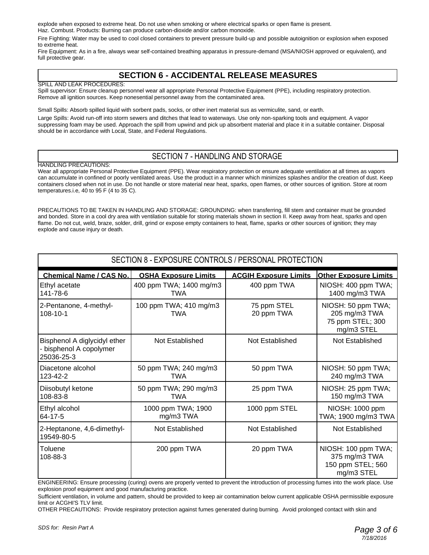explode when exposed to extreme heat. Do not use when smoking or where electrical sparks or open flame is present. Haz. Combust. Products: Burning can produce carbon-dioxide and/or carbon monoxide.

Fire Fighting: Water may be used to cool closed containers to prevent pressure build-up and possible autoignition or explosion when exposed to extreme heat.

Fire Equipment: As in a fire, always wear self-contained breathing apparatus in pressure-demand (MSA/NIOSH approved or equivalent), and full protective gear.

#### **SECTION 6 - ACCIDENTAL RELEASE MEASURES**

#### SPILL AND LEAK PROCEDURES:

Spill supervisor: Ensure cleanup personnel wear all appropriate Personal Protective Equipment (PPE), including respiratory protection. Remove all ignition sources. Keep nonesential personnel away from the contaminated area.

Small Spills: Absorb spilled liquid with sorbent pads, socks, or other inert material sus as vermiculite, sand, or earth.

Large Spills: Avoid run-off into storm sewers and ditches that lead to waterways. Use only non-sparking tools and equipment. A vapor suppressing foam may be used. Approach the spill from upwind and pick up absorbent material and place it in a suitable container. Disposal should be in accordance with Local, State, and Federal Regulations.

#### SECTION 7 - HANDLING AND STORAGE

#### HANDLING PRECAUTIONS:

Wear all appropriate Personal Protective Equipment (PPE). Wear respiratory protection or ensure adequate ventilation at all times as vapors can accumulate in confined or poorly ventilated areas. Use the product in a manner which minimizes splashes and/or the creation of dust. Keep containers closed when not in use. Do not handle or store material near heat, sparks, open flames, or other sources of ignition. Store at room temperatures.i.e, 40 to 95 F (4 to 35 C).

PRECAUTIONS TO BE TAKEN IN HANDLING AND STORAGE: GROUNDING: when transferring, fill stem and container must be grounded and bonded. Store in a cool dry area with ventilation suitable for storing materials shown in section II. Keep away from heat, sparks and open flame. Do not cut, weld, braze, solder, drill, grind or expose empty containers to heat, flame, sparks or other sources of ignition; they may explode and cause injury or death.

| SECTION 8 - EXPOSURE CONTROLS / PERSONAL PROTECTION                   |                                       |                              |                                                                         |
|-----------------------------------------------------------------------|---------------------------------------|------------------------------|-------------------------------------------------------------------------|
| <b>Chemical Name / CAS No.</b>                                        | <b>OSHA Exposure Limits</b>           | <b>ACGIH Exposure Limits</b> | <b>Other Exposure Limits</b>                                            |
| Ethyl acetate<br>141-78-6                                             | 400 ppm TWA; 1400 mg/m3<br><b>TWA</b> | 400 ppm TWA                  | NIOSH: 400 ppm TWA;<br>1400 mg/m3 TWA                                   |
| 2-Pentanone, 4-methyl-<br>108-10-1                                    | 100 ppm TWA; 410 mg/m3<br><b>TWA</b>  | 75 ppm STEL<br>20 ppm TWA    | NIOSH: 50 ppm TWA;<br>205 mg/m3 TWA<br>75 ppm STEL; 300<br>mg/m3 STEL   |
| Bisphenol A diglycidyl ether<br>- bisphenol A copolymer<br>25036-25-3 | Not Established                       | Not Established              | Not Established                                                         |
| Diacetone alcohol<br>123-42-2                                         | 50 ppm TWA; 240 mg/m3<br><b>TWA</b>   | 50 ppm TWA                   | NIOSH: 50 ppm TWA;<br>240 mg/m3 TWA                                     |
| Diisobutyl ketone<br>108-83-8                                         | 50 ppm TWA; 290 mg/m3<br><b>TWA</b>   | 25 ppm TWA                   | NIOSH: 25 ppm TWA;<br>150 mg/m3 TWA                                     |
| Ethyl alcohol<br>64-17-5                                              | 1000 ppm TWA; 1900<br>mg/m3 TWA       | 1000 ppm STEL                | NIOSH: 1000 ppm<br>TWA; 1900 mg/m3 TWA                                  |
| 2-Heptanone, 4,6-dimethyl-<br>19549-80-5                              | Not Established                       | Not Established              | Not Established                                                         |
| Toluene<br>108-88-3                                                   | 200 ppm TWA                           | 20 ppm TWA                   | NIOSH: 100 ppm TWA;<br>375 mg/m3 TWA<br>150 ppm STEL; 560<br>mg/m3 STEL |

ENGINEERING: Ensure processing (curing) ovens are properly vented to prevent the introduction of processing fumes into the work place. Use explosion proof equipment and good manufacturing practice.

Sufficient ventilation, in volume and pattern, should be provided to keep air contamination below current applicable OSHA permissible exposure limit or ACGHI'S TLV limit.

OTHER PRECAUTIONS: Provide respiratory protection against fumes generated during burning. Avoid prolonged contact with skin and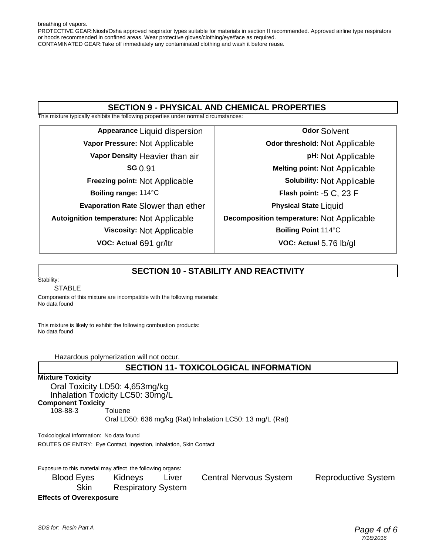breathing of vapors. PROTECTIVE GEAR:Niosh/Osha approved respirator types suitable for materials in section II recommended. Approved airline type respirators or hoods recommended in confined areas. Wear protective gloves/clothing/eye/face as required. CONTAMINATED GEAR:Take off immediately any contaminated clothing and wash it before reuse.

#### **SECTION 9 - PHYSICAL AND CHEMICAL PROPERTIES**

This mixture typically exhibits the following properties under normal circumstances:

**Appearance** Liquid dispersion **Vapor Pressure:** Not Applicable **Vapor Density** Heavier than air **SG** 0.91 **Freezing point:** Not Applicable **Boiling range:** 114°C **Evaporation Rate** Slower than ether **Autoignition temperature:** Not Applicable **Viscosity:** Not Applicable **VOC: Actual** 691 gr/ltr

**Odor** Solvent **Odor threshold:** Not Applicable **pH:** Not Applicable **Melting point:** Not Applicable **Solubility:** Not Applicable **Flash point:** -5 C, 23 F **Physical State** Liquid **Decomposition temperature:** Not Applicable **Boiling Point** 114°C **VOC: Actual** 5.76 lb/gl

#### **SECTION 10 - STABILITY AND REACTIVITY**

#### Stability: STABLE

Components of this mixture are incompatible with the following materials: No data found

This mixture is likely to exhibit the following combustion products: No data found

Hazardous polymerization will not occur.

#### **SECTION 11- TOXICOLOGICAL INFORMATION**

#### **Mixture Toxicity**

Oral Toxicity LD50: 4,653mg/kg

Inhalation Toxicity LC50: 30mg/L

**Component Toxicity**

108-88-3 Toluene

Oral LD50: 636 mg/kg (Rat) Inhalation LC50: 13 mg/L (Rat)

Toxicological Information: No data found ROUTES OF ENTRY: Eye Contact, Ingestion, Inhalation, Skin Contact

Exposure to this material may affect the following organs:

Blood Eyes Kidneys Liver Central Nervous System Reproductive System Skin Respiratory System

**Effects of Overexposure**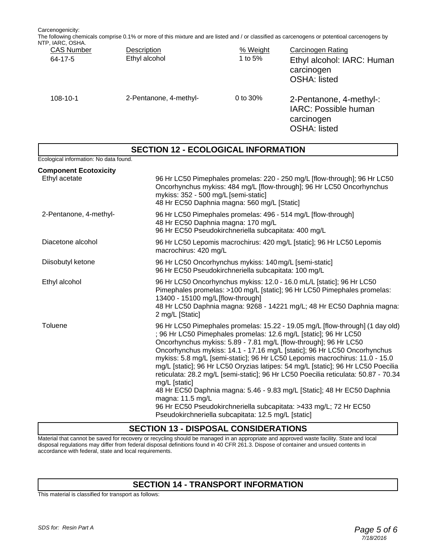Carcenogenicity: The following chemicals comprise 0.1% or more of this mixture and are listed and / or classified as carcenogens or potentioal carcenogens by NTP, IARC, OSHA

| או וטט, טאוד, זו א<br><b>CAS Number</b><br>$64 - 17 - 5$ | Description<br>Ethyl alcohol | % Weight<br>1 to 5% | Carcinogen Rating<br>Ethyl alcohol: IARC: Human<br>carcinogen<br><b>OSHA: listed</b> |
|----------------------------------------------------------|------------------------------|---------------------|--------------------------------------------------------------------------------------|
| $108 - 10 - 1$                                           | 2-Pentanone, 4-methyl-       | 0 to $30\%$         | 2-Pentanone, 4-methyl-:<br>IARC: Possible human<br>carcinogen<br><b>OSHA: listed</b> |

#### **SECTION 12 - ECOLOGICAL INFORMATION**

Ecological information: No data found. **Component Ecotoxicity** Ethyl acetate 96 Hr LC50 Pimephales promelas: 220 - 250 mg/L [flow-through]; 96 Hr LC50 Oncorhynchus mykiss: 484 mg/L [flow-through]; 96 Hr LC50 Oncorhynchus mykiss: 352 - 500 mg/L [semi-static] 48 Hr EC50 Daphnia magna: 560 mg/L [Static] 2-Pentanone, 4-methyl- 96 Hr LC50 Pimephales promelas: 496 - 514 mg/L [flow-through] 48 Hr EC50 Daphnia magna: 170 mg/L 96 Hr EC50 Pseudokirchneriella subcapitata: 400 mg/L Diacetone alcohol 96 Hr LC50 Lepomis macrochirus: 420 mg/L [static]; 96 Hr LC50 Lepomis macrochirus: 420 mg/L Diisobutyl ketone 96 Hr LC50 Oncorhynchus mykiss: 140 mg/L [semi-static] 96 Hr EC50 Pseudokirchneriella subcapitata: 100 mg/L Ethyl alcohol 96 Hr LC50 Oncorhynchus mykiss: 12.0 - 16.0 mL/L [static]; 96 Hr LC50 Pimephales promelas: >100 mg/L [static]; 96 Hr LC50 Pimephales promelas: 13400 - 15100 mg/L[flow-through] 48 Hr LC50 Daphnia magna: 9268 - 14221 mg/L; 48 Hr EC50 Daphnia magna: 2 mg/L [Static] Toluene 96 Hr LC50 Pimephales promelas: 15.22 - 19.05 mg/L [flow-through] (1 day old) ; 96 Hr LC50 Pimephales promelas: 12.6 mg/L [static]; 96 Hr LC50 Oncorhynchus mykiss: 5.89 - 7.81 mg/L [flow-through]; 96 Hr LC50 Oncorhynchus mykiss: 14.1 - 17.16 mg/L [static]; 96 Hr LC50 Oncorhynchus mykiss: 5.8 mg/L [semi-static]; 96 Hr LC50 Lepomis macrochirus: 11.0 - 15.0 mg/L [static]; 96 Hr LC50 Oryzias latipes: 54 mg/L [static]; 96 Hr LC50 Poecilia

reticulata: 28.2 mg/L [semi-static]; 96 Hr LC50 Poecilia reticulata: 50.87 - 70.34 mg/L [static] 48 Hr EC50 Daphnia magna: 5.46 - 9.83 mg/L [Static]; 48 Hr EC50 Daphnia magna: 11.5 mg/L 96 Hr EC50 Pseudokirchneriella subcapitata: >433 mg/L; 72 Hr EC50 Pseudokirchneriella subcapitata: 12.5 mg/L [static]

#### **SECTION 13 - DISPOSAL CONSIDERATIONS**

Material that cannot be saved for recovery or recycling should be managed in an appropriate and approved waste facility. State and local disposal regulations may differ from federal disposal definitions found in 40 CFR 261.3. Dispose of container and unsued contents in accordance with federal, state and local requirements.

#### **SECTION 14 - TRANSPORT INFORMATION**

This material is classified for transport as follows: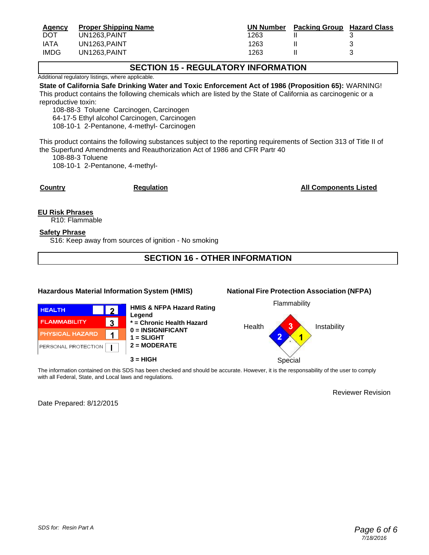| <b>Agency</b> | <b>Proper Shipping Name</b> | UN Number | <b>Packing Group Hazard Class</b> |  |
|---------------|-----------------------------|-----------|-----------------------------------|--|
| <b>DOT</b>    | UN1263.PAINT                | 1263      |                                   |  |
| <b>IATA</b>   | UN1263.PAINT                | 1263      |                                   |  |
| <b>IMDG</b>   | UN1263.PAINT                | 1263      |                                   |  |

#### **SECTION 15 - REGULATORY INFORMATION**

Additional regulatory listings, where applicable.

**State of California Safe Drinking Water and Toxic Enforcement Act of 1986 (Proposition 65):** WARNING! This product contains the following chemicals which are listed by the State of California as carcinogenic or a reproductive toxin:

108-88-3 Toluene Carcinogen, Carcinogen 64-17-5 Ethyl alcohol Carcinogen, Carcinogen 108-10-1 2-Pentanone, 4-methyl- Carcinogen

This product contains the following substances subject to the reporting requirements of Section 313 of Title II of the Superfund Amendments and Reauthorization Act of 1986 and CFR Partr 40

108-88-3 Toluene

108-10-1 2-Pentanone, 4-methyl-

**Country Country Regulation Regulation Regulation Regulation Regulation Regulation Regulation Regulation Regulation Regulation Regulation Regulation Regulation Regulation Regulation Regulation Regulation Regulation Regulat** 

**EU Risk Phrases**

R10: Flammable

#### **Safety Phrase**

S16: Keep away from sources of ignition - No smoking

#### **SECTION 16 - OTHER INFORMATION**

#### **Hazardous Material Information System (HMIS) National Fire Protection Association (NFPA)**





**HMIS & NFPA Hazard Rating Legend \* = Chronic Health Hazard 0 = INSIGNIFICANT 1 = SLIGHT 2 = MODERATE 3 = HIGH** Special





The information contained on this SDS has been checked and should be accurate. However, it is the responsability of the user to comply with all Federal, State, and Local laws and regulations.

Reviewer Revision

Date Prepared: 8/12/2015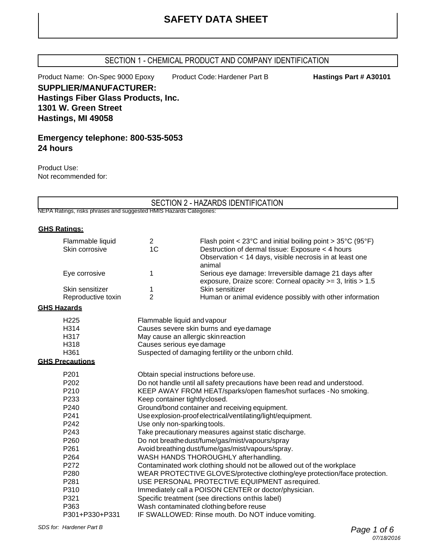#### SECTION 1 - CHEMICAL PRODUCT AND COMPANY IDENTIFICATION

Product Name: On-Spec 9000 Epoxy Product Code: Hardener Part B **Hastings Part # A30101** 

**SUPPLIER/MANUFACTURER: Hastings Fiber Glass Products, Inc. 1301 W. Green Street Hastings, MI 49058**

#### **Emergency telephone: 800-535-5053 24 hours**

Product Use: Not recommended for:

#### SECTION 2 - HAZARDS IDENTIFICATION

NEPA Ratings, risks phrases and suggested HMIS Hazards Categories:

#### **GHS Ratings:**

| Flammable liquid<br>Skin corrosive | $\overline{2}$<br>1 <sub>C</sub>                                           | Flash point < $23^{\circ}$ C and initial boiling point > $35^{\circ}$ C (95°F)<br>Destruction of dermal tissue: Exposure < 4 hours |  |  |
|------------------------------------|----------------------------------------------------------------------------|------------------------------------------------------------------------------------------------------------------------------------|--|--|
|                                    |                                                                            | Observation < 14 days, visible necrosis in at least one                                                                            |  |  |
| Eye corrosive                      | 1                                                                          | animal<br>Serious eye damage: Irreversible damage 21 days after<br>exposure, Draize score: Corneal opacity >= 3, Iritis > 1.5      |  |  |
| Skin sensitizer                    | 1                                                                          | Skin sensitizer                                                                                                                    |  |  |
| Reproductive toxin                 | $\overline{2}$                                                             | Human or animal evidence possibly with other information                                                                           |  |  |
| <b>GHS Hazards</b>                 |                                                                            |                                                                                                                                    |  |  |
| H <sub>225</sub>                   |                                                                            |                                                                                                                                    |  |  |
| H314                               |                                                                            | Flammable liquid and vapour<br>Causes severe skin burns and eye damage                                                             |  |  |
| H317                               |                                                                            |                                                                                                                                    |  |  |
| H318                               |                                                                            | May cause an allergic skin reaction<br>Causes serious eye damage                                                                   |  |  |
| H361                               |                                                                            |                                                                                                                                    |  |  |
| <b>GHS Precautions</b>             | Suspected of damaging fertility or the unborn child.                       |                                                                                                                                    |  |  |
|                                    |                                                                            |                                                                                                                                    |  |  |
| P201                               | Obtain special instructions before use.                                    |                                                                                                                                    |  |  |
| P202                               | Do not handle until all safety precautions have been read and understood.  |                                                                                                                                    |  |  |
| P210                               |                                                                            | KEEP AWAY FROM HEAT/sparks/open flames/hot surfaces - No smoking.                                                                  |  |  |
| P233                               |                                                                            | Keep container tightly closed.                                                                                                     |  |  |
| P240                               |                                                                            | Ground/bond container and receiving equipment.                                                                                     |  |  |
| P241                               |                                                                            | Use explosion-proof electrical/ventilating/light/equipment.                                                                        |  |  |
| P242                               |                                                                            | Use only non-sparking tools.                                                                                                       |  |  |
| P243                               |                                                                            | Take precautionary measures against static discharge.                                                                              |  |  |
| P260                               | Do not breathedust/fume/gas/mist/vapours/spray                             |                                                                                                                                    |  |  |
| P261                               | Avoid breathing dust/fume/gas/mist/vapours/spray.                          |                                                                                                                                    |  |  |
| P264                               | WASH HANDS THOROUGHLY after handling.                                      |                                                                                                                                    |  |  |
| P272                               | Contaminated work clothing should not be allowed out of the workplace      |                                                                                                                                    |  |  |
| P280                               | WEAR PROTECTIVE GLOVES/protective clothing/eye protection/face protection. |                                                                                                                                    |  |  |
| P281                               | USE PERSONAL PROTECTIVE EQUIPMENT as required.                             |                                                                                                                                    |  |  |
| P310                               | Immediately call a POISON CENTER or doctor/physician.                      |                                                                                                                                    |  |  |
| P321                               |                                                                            | Specific treatment (see directions onthis label)                                                                                   |  |  |
| P363                               |                                                                            | Wash contaminated clothing before reuse                                                                                            |  |  |
| P301+P330+P331                     |                                                                            | IF SWALLOWED: Rinse mouth. Do NOT induce vomiting.                                                                                 |  |  |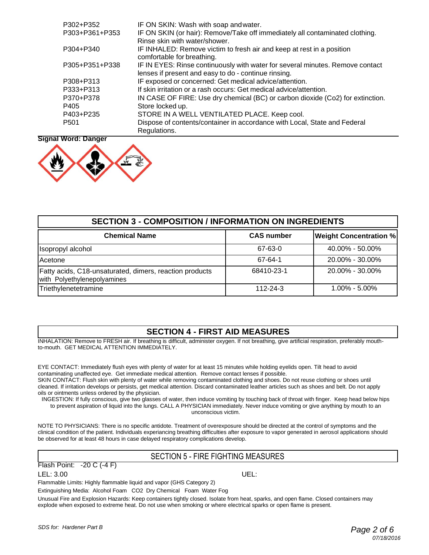| P302+P352        | IF ON SKIN: Wash with soap and water.                                                                                                 |
|------------------|---------------------------------------------------------------------------------------------------------------------------------------|
| P303+P361+P353   | IF ON SKIN (or hair): Remove/Take off immediately all contaminated clothing.<br>Rinse skin with water/shower.                         |
| P304+P340        | IF INHALED: Remove victim to fresh air and keep at rest in a position<br>comfortable for breathing.                                   |
| P305+P351+P338   | IF IN EYES: Rinse continuously with water for several minutes. Remove contact<br>lenses if present and easy to do - continue rinsing. |
| P308+P313        | IF exposed or concerned: Get medical advice/attention.                                                                                |
| P333+P313        | If skin irritation or a rash occurs: Get medical advice/attention.                                                                    |
| P370+P378        | IN CASE OF FIRE: Use dry chemical (BC) or carbon dioxide (Co2) for extinction.                                                        |
| P405             | Store locked up.                                                                                                                      |
| P403+P235        | STORE IN A WELL VENTILATED PLACE. Keep cool.                                                                                          |
| P <sub>501</sub> | Dispose of contents/container in accordance with Local, State and Federal<br>Regulations.                                             |

#### **Signal Word: Danger**



| <b>SECTION 3 - COMPOSITION / INFORMATION ON INGREDIENTS</b>                            |                   |                               |  |
|----------------------------------------------------------------------------------------|-------------------|-------------------------------|--|
| <b>Chemical Name</b>                                                                   | <b>CAS number</b> | <b>Weight Concentration %</b> |  |
| Isopropyl alcohol                                                                      | 67-63-0           | $40.00\% - 50.00\%$           |  |
| Acetone                                                                                | 67-64-1           | 20.00% - 30.00%               |  |
| Fatty acids, C18-unsaturated, dimers, reaction products<br>with Polyethylenepolyamines | 68410-23-1        | 20.00% - 30.00%               |  |
| Triethylenetetramine                                                                   | $112 - 24 - 3$    | $1.00\% - 5.00\%$             |  |

#### **SECTION 4 - FIRST AID MEASURES**

INHALATION: Remove to FRESH air. If breathing is difficult, administer oxygen. If not breathing, give artificial respiration, preferably mouthto-mouth. GET MEDICAL ATTENTION IMMEDIATELY.

EYE CONTACT: Immediately flush eyes with plenty of water for at least 15 minutes while holding eyelids open. Tilt head to avoid contaminating unaffected eye. Get immediate medical attention. Remove contact lenses if possible.

SKIN CONTACT: Flush skin with plenty of water while removing contaminated clothing and shoes. Do not reuse clothing or shoes until cleaned. If irritation develops or persists, get medical attention. Discard contaminated leather articles such as shoes and belt. Do not apply oils or ointments unless ordered by the physician.

INGESTION: If fully conscious, give two glasses of water, then induce vomiting by touching back of throat with finger. Keep head below hips to prevent aspiration of liquid into the lungs. CALL A PHYSICIAN immediately. Never induce vomiting or give anything by mouth to an

unconscious victim.

NOTE TO PHYSICIANS: There is no specific antidote. Treatment of overexposure should be directed at the control of symptoms and the clinical condition of the patient. Individuals experiancing breathing difficulties after exposure to vapor generated in aerosol applications should be observed for at least 48 hours in case delayed respiratory complications develop.

#### SECTION 5 - FIRE FIGHTING MEASURES

Flash Point: -20 C (-4 F)

LEL: 3.00 UEL:

Flammable Limits: Highly flammable liquid and vapor (GHS Category 2)

Extinguishing Media: Alcohol Foam CO2 Dry Chemical Foam Water Fog

Unusual Fire and Explosion Hazards: Keep containers tightly closed. Isolate from heat, sparks, and open flame. Closed containers may explode when exposed to extreme heat. Do not use when smoking or where electrical sparks or open flame is present.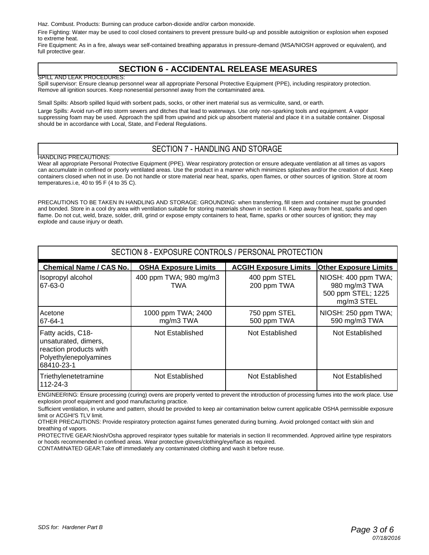Haz. Combust. Products: Burning can produce carbon-dioxide and/or carbon monoxide.

Fire Fighting: Water may be used to cool closed containers to prevent pressure build-up and possible autoignition or explosion when exposed to extreme heat.

Fire Equipment: As in a fire, always wear self-contained breathing apparatus in pressure-demand (MSA/NIOSH approved or equivalent), and full protective gear.

#### **SECTION 6 - ACCIDENTAL RELEASE MEASURES**

SPILL AND LEAK PROCEDURES: Spill supervisor: Ensure cleanup personnel wear all appropriate Personal Protective Equipment (PPE), including respiratory protection. Remove all ignition sources. Keep nonesential personnel away from the contaminated area.

Small Spills: Absorb spilled liquid with sorbent pads, socks, or other inert material sus as vermiculite, sand, or earth. Large Spills: Avoid run-off into storm sewers and ditches that lead to waterways. Use only non-sparking tools and equipment. A vapor suppressing foam may be used. Approach the spill from upwind and pick up absorbent material and place it in a suitable container. Disposal should be in accordance with Local, State, and Federal Regulations.

#### SECTION 7 - HANDLING AND STORAGE

HANDLING PRECAUTIONS:

Wear all appropriate Personal Protective Equipment (PPE). Wear respiratory protection or ensure adequate ventilation at all times as vapors can accumulate in confined or poorly ventilated areas. Use the product in a manner which minimizes splashes and/or the creation of dust. Keep containers closed when not in use. Do not handle or store material near heat, sparks, open flames, or other sources of ignition. Store at room temperatures.i.e, 40 to 95 F (4 to 35 C).

PRECAUTIONS TO BE TAKEN IN HANDLING AND STORAGE: GROUNDING: when transferring, fill stem and container must be grounded and bonded. Store in a cool dry area with ventilation suitable for storing materials shown in section II. Keep away from heat, sparks and open flame. Do not cut, weld, braze, solder, drill, grind or expose empty containers to heat, flame, sparks or other sources of ignition; they may explode and cause injury or death.

| SECTION 8 - EXPOSURE CONTROLS / PERSONAL PROTECTION                                                         |                                 |                              |                                                                          |
|-------------------------------------------------------------------------------------------------------------|---------------------------------|------------------------------|--------------------------------------------------------------------------|
| <b>Chemical Name / CAS No.</b>                                                                              | <b>OSHA Exposure Limits</b>     | <b>ACGIH Exposure Limits</b> | <b>Other Exposure Limits</b>                                             |
| Isopropyl alcohol<br>67-63-0                                                                                | 400 ppm TWA; 980 mg/m3<br>TWA   | 400 ppm STEL<br>200 ppm TWA  | NIOSH: 400 ppm TWA;<br>980 mg/m3 TWA<br>500 ppm STEL; 1225<br>mg/m3 STEL |
| Acetone<br>67-64-1                                                                                          | 1000 ppm TWA; 2400<br>mg/m3 TWA | 750 ppm STEL<br>500 ppm TWA  | NIOSH: 250 ppm TWA;<br>590 mg/m3 TWA                                     |
| Fatty acids, C18-<br>unsaturated, dimers,<br>reaction products with<br>Polyethylenepolyamines<br>68410-23-1 | Not Established                 | Not Established              | Not Established                                                          |
| Triethylenetetramine<br>112-24-3                                                                            | Not Established                 | Not Established              | Not Established                                                          |

ENGINEERING: Ensure processing (curing) ovens are properly vented to prevent the introduction of processing fumes into the work place. Use explosion proof equipment and good manufacturing practice.

Sufficient ventilation, in volume and pattern, should be provided to keep air contamination below current applicable OSHA permissible exposure limit or ACGHI'S TLV limit.

OTHER PRECAUTIONS: Provide respiratory protection against fumes generated during burning. Avoid prolonged contact with skin and breathing of vapors.

PROTECTIVE GEAR:Niosh/Osha approved respirator types suitable for materials in section II recommended. Approved airline type respirators or hoods recommended in confined areas. Wear protective gloves/clothing/eye/face as required.

CONTAMINATED GEAR:Take off immediately any contaminated clothing and wash it before reuse.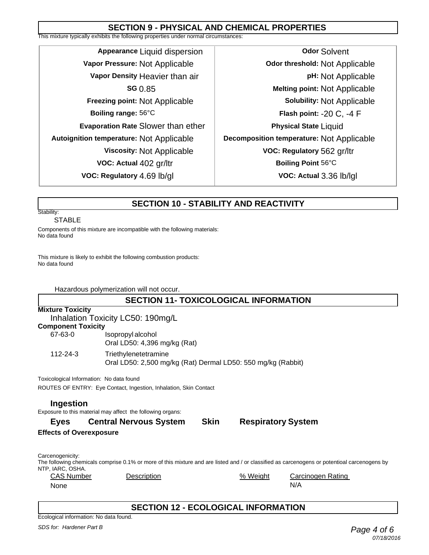#### **SECTION 9 - PHYSICAL AND CHEMICAL PROPERTIES**

This mixture typically exhibits the following properties under normal circumstances:

**Appearance** Liquid dispersion **Vapor Pressure:** Not Applicable **Vapor Density** Heavier than air **SG** 0.85 **Freezing point:** Not Applicable **Boiling range:** 56°C **Evaporation Rate** Slower than ether **Autoignition temperature:** Not Applicable **Viscosity:** Not Applicable **VOC: Actual** 402 gr/ltr **VOC: Regulatory** 4.69 lb/gl

**Odor** Solvent **Odor threshold:** Not Applicable **pH:** Not Applicable **Melting point:** Not Applicable **Solubility:** Not Applicable **Flash point:** -20 C, -4 F **Physical State** Liquid **Decomposition temperature:** Not Applicable **VOC: Regulatory** 562 gr/ltr **Boiling Point** 56°C **VOC: Actual** 3.36 lb/lgl

#### **SECTION 10 - STABILITY AND REACTIVITY**

#### Stability: STABLE

Components of this mixture are incompatible with the following materials: No data found

This mixture is likely to exhibit the following combustion products: No data found

Hazardous polymerization will not occur.

#### **SECTION 11- TOXICOLOGICAL INFORMATION**

| <b>Mixture Toxicity</b> |                                   |  |
|-------------------------|-----------------------------------|--|
|                         | Inhalation Toxicity LC50: 190mg/L |  |

#### **Component Toxicity**

| IIIDUIIEIIL TUXICILY |                                                              |
|----------------------|--------------------------------------------------------------|
| 67-63-0              | Isopropyl alcohol                                            |
|                      | Oral LD50: 4,396 mg/kg (Rat)                                 |
| 112-24-3             | Triethylenetetramine                                         |
|                      | Oral LD50: 2,500 mg/kg (Rat) Dermal LD50: 550 mg/kg (Rabbit) |

Toxicological Information: No data found

ROUTES OF ENTRY: Eye Contact, Ingestion, Inhalation, Skin Contact

#### **Ingestion**

Exposure to this material may affect the following organs:

#### **Eyes Central Nervous System Skin Respiratory System**

**Effects of Overexposure**

Carcenogenicity:

The following chemicals comprise 0.1% or more of this mixture and are listed and / or classified as carcenogens or potentioal carcenogens by NTP, IARC, OSHA.

| <b>CAS Number</b> | Description |  |
|-------------------|-------------|--|
| None              |             |  |

#### Carcinogen Rating N/A

#### **SECTION 12 - ECOLOGICAL INFORMATION**

% Weight

Ecological information: No data found.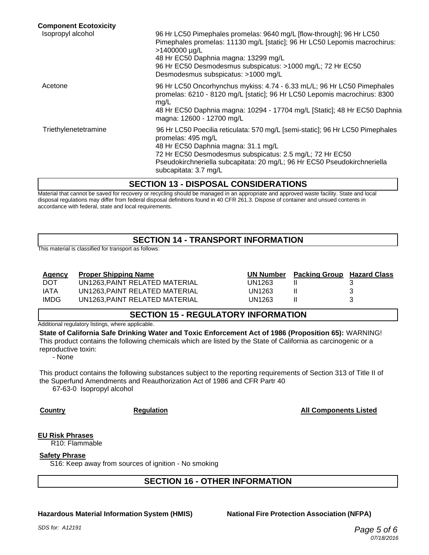| <b>Component Ecotoxicity</b> |                                                                                                                                                                                                                                                                                                                 |
|------------------------------|-----------------------------------------------------------------------------------------------------------------------------------------------------------------------------------------------------------------------------------------------------------------------------------------------------------------|
| Isopropyl alcohol            | 96 Hr LC50 Pimephales promelas: 9640 mg/L [flow-through]; 96 Hr LC50<br>Pimephales promelas: 11130 mg/L [static]; 96 Hr LC50 Lepomis macrochirus:<br>>1400000 µg/L<br>48 Hr EC50 Daphnia magna: 13299 mg/L<br>96 Hr EC50 Desmodesmus subspicatus: >1000 mg/L; 72 Hr EC50<br>Desmodesmus subspicatus: >1000 mg/L |
| Acetone                      | 96 Hr LC50 Oncorhynchus mykiss: 4.74 - 6.33 mL/L; 96 Hr LC50 Pimephales<br>promelas: 6210 - 8120 mg/L [static]; 96 Hr LC50 Lepomis macrochirus: 8300<br>mg/L<br>48 Hr EC50 Daphnia magna: 10294 - 17704 mg/L [Static]; 48 Hr EC50 Daphnia<br>magna: 12600 - 12700 mg/L                                          |
| Triethylenetetramine         | 96 Hr LC50 Poecilia reticulata: 570 mg/L [semi-static]; 96 Hr LC50 Pimephales<br>promelas: 495 mg/L<br>48 Hr EC50 Daphnia magna: 31.1 mg/L<br>72 Hr EC50 Desmodesmus subspicatus: 2.5 mg/L; 72 Hr EC50<br>Pseudokirchneriella subcapitata: 20 mg/L; 96 Hr EC50 Pseudokirchneriella<br>subcapitata: 3.7 mg/L     |
|                              | SECTION 12 DISPOSAL CONSIDERATIONS                                                                                                                                                                                                                                                                              |

**SECTION 13 - DISPOSAL CONSIDERATIONS**

Material that cannot be saved for recovery or recycling should be managed in an appropriate and approved waste facility. State and local disposal regulations may differ from federal disposal definitions found in 40 CFR 261.3. Dispose of container and unsued contents in accordance with federal, state and local requirements.

#### **SECTION 14 - TRANSPORT INFORMATION**

This material is classified for transport as follows:

#### **Agency Proper Shipping Name**

DOT UN1263,PAINT RELATED MATERIAL IATA UN1263, PAINT RELATED MATERIAL IMDG UN1263, PAINT RELATED MATERIAL

|        | UN Number Packing Group Hazard Class |   |
|--------|--------------------------------------|---|
| UN1263 |                                      |   |
| UN1263 |                                      | З |
| UN1263 |                                      | З |

#### **SECTION 15 - REGULATORY INFORMATION**

Additional regulatory listings, where applicable.

**State of California Safe Drinking Water and Toxic Enforcement Act of 1986 (Proposition 65):** WARNING! This product contains the following chemicals which are listed by the State of California as carcinogenic or a reproductive toxin:

- None

This product contains the following substances subject to the reporting requirements of Section 313 of Title II of the Superfund Amendments and Reauthorization Act of 1986 and CFR Partr 40

67-63-0 Isopropyl alcohol

#### **Country Regulation All Components Listed**

#### **EU Risk Phrases**

R10: Flammable

#### **Safety Phrase**

S16: Keep away from sources of ignition - No smoking

#### **SECTION 16 - OTHER INFORMATION**

#### **Hazardous Material Information System (HMIS) National Fire Protection Association (NFPA)**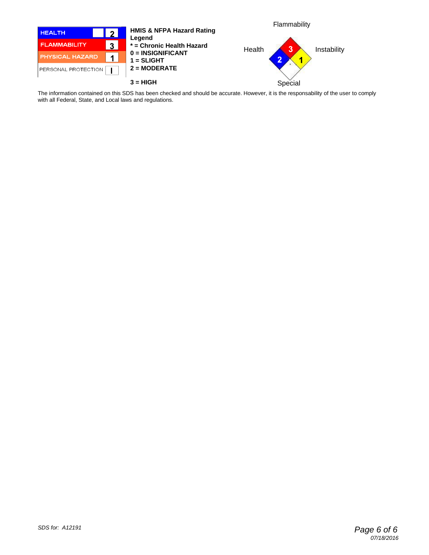

The information contained on this SDS has been checked and should be accurate. However, it is the responsability of the user to comply with all Federal, State, and Local laws and regulations.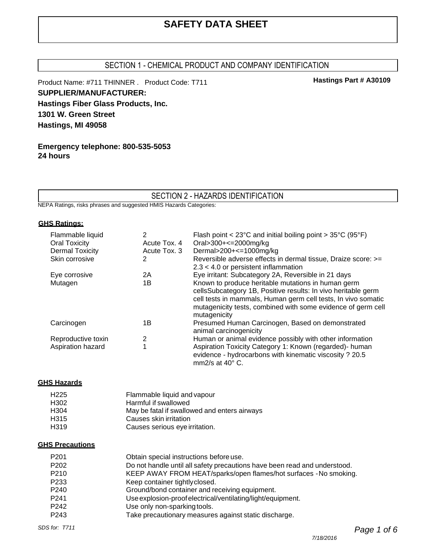# **SAFETY DATA SHEET**

#### SECTION 1 - CHEMICAL PRODUCT AND COMPANY IDENTIFICATION

Product Name: #711 THINNER . Product Code: T711 **SUPPLIER/MANUFACTURER: Hastings Fiber Glass Products, Inc. 1301 W. Green Street Hastings, MI 49058**

**Emergency telephone: 800-535-5053 24 hours**

#### SECTION 2 - HAZARDS IDENTIFICATION

NEPA Ratings, risks phrases and suggested HMIS Hazards Categories:

#### **GHS Ratings:**

| Flammable liquid<br><b>Oral Toxicity</b><br><b>Dermal Toxicity</b> | 2<br>Acute Tox, 4<br>Acute Tox, 3 | Flash point < $23^{\circ}$ C and initial boiling point > $35^{\circ}$ C ( $95^{\circ}$ F)<br>Oral>300+<=2000mg/kg<br>Dermal>200+<=1000mg/kg                                                                                                                          |
|--------------------------------------------------------------------|-----------------------------------|----------------------------------------------------------------------------------------------------------------------------------------------------------------------------------------------------------------------------------------------------------------------|
| Skin corrosive                                                     | 2                                 | Reversible adverse effects in dermal tissue, Draize score: >=<br>$2.3 < 4.0$ or persistent inflammation                                                                                                                                                              |
| Eye corrosive                                                      | 2Α                                | Eye irritant: Subcategory 2A, Reversible in 21 days                                                                                                                                                                                                                  |
| Mutagen                                                            | 1В                                | Known to produce heritable mutations in human germ<br>cellsSubcategory 1B, Positive results: In vivo heritable germ<br>cell tests in mammals, Human germ cell tests, In vivo somatic<br>mutagenicity tests, combined with some evidence of germ cell<br>mutagenicity |
| Carcinogen                                                         | 1Β                                | Presumed Human Carcinogen, Based on demonstrated<br>animal carcinogenicity                                                                                                                                                                                           |
| Reproductive toxin                                                 | 2                                 | Human or animal evidence possibly with other information                                                                                                                                                                                                             |
| Aspiration hazard                                                  | 1                                 | Aspiration Toxicity Category 1: Known (regarded)- human<br>evidence - hydrocarbons with kinematic viscosity ? 20.5<br>mm2/s at $40^{\circ}$ C.                                                                                                                       |

#### **GHS Hazards**

| H <sub>225</sub>  | Flammable liquid and vapour                  |
|-------------------|----------------------------------------------|
| H302              | Harmful if swallowed                         |
| H304              | May be fatal if swallowed and enters airways |
| H315              | Causes skin irritation                       |
| H <sub>3</sub> 19 | Causes serious eye irritation.               |

#### **GHS Precautions**

| P <sub>201</sub> | Obtain special instructions before use.                                   |
|------------------|---------------------------------------------------------------------------|
| P <sub>202</sub> | Do not handle until all safety precautions have been read and understood. |
| P <sub>210</sub> | KEEP AWAY FROM HEAT/sparks/open flames/hot surfaces - No smoking.         |
| P233             | Keep container tightly closed.                                            |
| P <sub>240</sub> | Ground/bond container and receiving equipment.                            |
| P <sub>241</sub> | Use explosion-proof electrical/ventilating/light/equipment.               |
| P <sub>242</sub> | Use only non-sparking tools.                                              |
| P243             | Take precautionary measures against static discharge.                     |

**Hastings Part # A30109**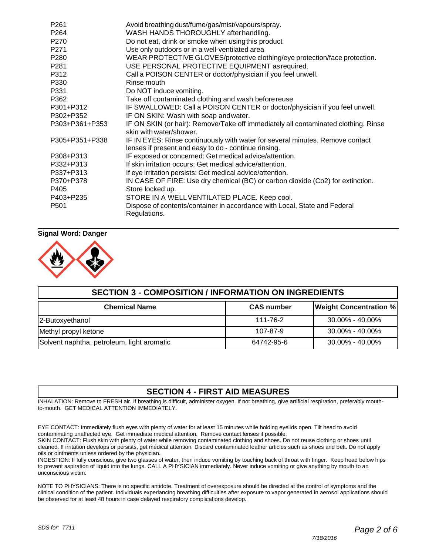| P <sub>261</sub> | Avoid breathing dust/fume/gas/mist/vapours/spray.                                                                                     |
|------------------|---------------------------------------------------------------------------------------------------------------------------------------|
| P <sub>264</sub> | WASH HANDS THOROUGHLY after handling.                                                                                                 |
| P <sub>270</sub> | Do not eat, drink or smoke when using this product                                                                                    |
| P <sub>271</sub> | Use only outdoors or in a well-ventilated area                                                                                        |
| P <sub>280</sub> | WEAR PROTECTIVE GLOVES/protective clothing/eye protection/face protection.                                                            |
| P <sub>281</sub> | USE PERSONAL PROTECTIVE EQUIPMENT as required.                                                                                        |
| P312             | Call a POISON CENTER or doctor/physician if you feel unwell.                                                                          |
| P330             | Rinse mouth                                                                                                                           |
| P331             | Do NOT induce vomiting.                                                                                                               |
| P362             | Take off contaminated clothing and wash before reuse                                                                                  |
| P301+P312        | IF SWALLOWED: Call a POISON CENTER or doctor/physician if you feel unwell.                                                            |
| P302+P352        | IF ON SKIN: Wash with soap andwater.                                                                                                  |
| P303+P361+P353   | IF ON SKIN (or hair): Remove/Take off immediately all contaminated clothing. Rinse<br>skin with water/shower.                         |
| P305+P351+P338   | IF IN EYES: Rinse continuously with water for several minutes. Remove contact<br>lenses if present and easy to do - continue rinsing. |
| P308+P313        | IF exposed or concerned: Get medical advice/attention.                                                                                |
| P332+P313        | If skin irritation occurs: Get medical advice/attention.                                                                              |
| P337+P313        | If eye irritation persists: Get medical advice/attention.                                                                             |
| P370+P378        | IN CASE OF FIRE: Use dry chemical (BC) or carbon dioxide (Co2) for extinction.                                                        |
| P405             | Store locked up.                                                                                                                      |
| P403+P235        | STORE IN A WELL VENTILATED PLACE. Keep cool.                                                                                          |
| P <sub>501</sub> | Dispose of contents/container in accordance with Local, State and Federal<br>Regulations.                                             |

#### **Signal Word: Danger**



| <b>SECTION 3 - COMPOSITION / INFORMATION ON INGREDIENTS</b> |                   |                               |
|-------------------------------------------------------------|-------------------|-------------------------------|
| <b>Chemical Name</b>                                        | <b>CAS number</b> | <b>Weight Concentration %</b> |
| 2-Butoxyethanol                                             | 111-76-2          | $30.00\% - 40.00\%$           |
| Methyl propyl ketone                                        | 107-87-9          | 30.00% - 40.00%               |
| Solvent naphtha, petroleum, light aromatic                  | 64742-95-6        | $30.00\% - 40.00\%$           |

#### **SECTION 4 - FIRST AID MEASURES**

INHALATION: Remove to FRESH air. If breathing is difficult, administer oxygen. If not breathing, give artificial respiration, preferably mouthto-mouth. GET MEDICAL ATTENTION IMMEDIATELY.

EYE CONTACT: Immediately flush eyes with plenty of water for at least 15 minutes while holding eyelids open. Tilt head to avoid contaminating unaffected eye. Get immediate medical attention. Remove contact lenses if possible.

SKIN CONTACT: Flush skin with plenty of water while removing contaminated clothing and shoes. Do not reuse clothing or shoes until cleaned. If irritation develops or persists, get medical attention. Discard contaminated leather articles such as shoes and belt. Do not apply oils or ointments unless ordered by the physician.

INGESTION: If fully conscious, give two glasses of water, then induce vomiting by touching back of throat with finger. Keep head below hips to prevent aspiration of liquid into the lungs. CALL A PHYSICIAN immediately. Never induce vomiting or give anything by mouth to an unconscious victim.

NOTE TO PHYSICIANS: There is no specific antidote. Treatment of overexposure should be directed at the control of symptoms and the clinical condition of the patient. Individuals experiancing breathing difficulties after exposure to vapor generated in aerosol applications should be observed for at least 48 hours in case delayed respiratory complications develop.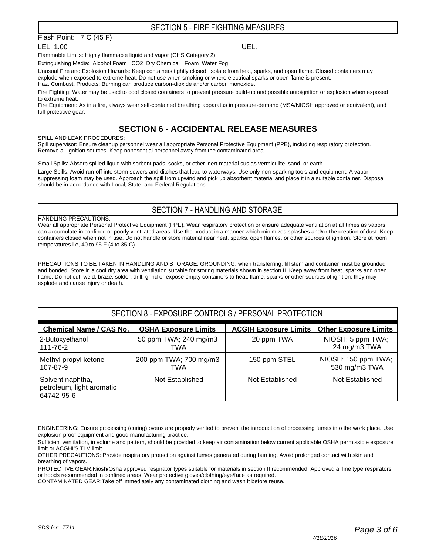#### SECTION 5 - FIRE FIGHTING MEASURES

#### Flash Point: 7 C (45 F)

LEL: 1.00 UEL:

Flammable Limits: Highly flammable liquid and vapor (GHS Category 2)

Extinguishing Media: Alcohol Foam CO2 Dry Chemical Foam Water Fog

Unusual Fire and Explosion Hazards: Keep containers tightly closed. Isolate from heat, sparks, and open flame. Closed containers may explode when exposed to extreme heat. Do not use when smoking or where electrical sparks or open flame is present.

Haz. Combust. Products: Burning can produce carbon-dioxide and/or carbon monoxide.

Fire Fighting: Water may be used to cool closed containers to prevent pressure build-up and possible autoignition or explosion when exposed to extreme heat.

Fire Equipment: As in a fire, always wear self-contained breathing apparatus in pressure-demand (MSA/NIOSH approved or equivalent), and full protective gear.

#### **SECTION 6 - ACCIDENTAL RELEASE MEASURES**

#### SPILL AND LEAK PROCEDURES:

Spill supervisor: Ensure cleanup personnel wear all appropriate Personal Protective Equipment (PPE), including respiratory protection. Remove all ignition sources. Keep nonesential personnel away from the contaminated area.

Small Spills: Absorb spilled liquid with sorbent pads, socks, or other inert material sus as vermiculite, sand, or earth.

Large Spills: Avoid run-off into storm sewers and ditches that lead to waterways. Use only non-sparking tools and equipment. A vapor suppressing foam may be used. Approach the spill from upwind and pick up absorbent material and place it in a suitable container. Disposal should be in accordance with Local, State, and Federal Regulations.

#### SECTION 7 - HANDLING AND STORAGE

#### HANDLING PRECAUTIONS:

Wear all appropriate Personal Protective Equipment (PPE). Wear respiratory protection or ensure adequate ventilation at all times as vapors can accumulate in confined or poorly ventilated areas. Use the product in a manner which minimizes splashes and/or the creation of dust. Keep containers closed when not in use. Do not handle or store material near heat, sparks, open flames, or other sources of ignition. Store at room temperatures.i.e, 40 to 95 F (4 to 35 C).

PRECAUTIONS TO BE TAKEN IN HANDLING AND STORAGE: GROUNDING: when transferring, fill stem and container must be grounded and bonded. Store in a cool dry area with ventilation suitable for storing materials shown in section II. Keep away from heat, sparks and open flame. Do not cut, weld, braze, solder, drill, grind or expose empty containers to heat, flame, sparks or other sources of ignition; they may explode and cause injury or death.

#### SECTION 8 - EXPOSURE CONTROLS / PERSONAL PROTECTION

| <b>Chemical Name / CAS No.</b>                              | <b>OSHA Exposure Limits</b> | <b>ACGIH Exposure Limits</b> | <b>Other Exposure Limits</b> |
|-------------------------------------------------------------|-----------------------------|------------------------------|------------------------------|
| 2-Butoxyethanol                                             | 50 ppm TWA; 240 mg/m3       | 20 ppm TWA                   | NIOSH: 5 ppm TWA;            |
| 111-76-2                                                    | TWA                         |                              | 24 mg/m3 TWA                 |
| Methyl propyl ketone                                        | 200 ppm TWA; 700 mg/m3      | 150 ppm STEL                 | NIOSH: 150 ppm TWA;          |
| 107-87-9                                                    | TWA                         |                              | 530 mg/m3 TWA                |
| Solvent naphtha,<br>petroleum, light aromatic<br>64742-95-6 | Not Established             | Not Established              | Not Established              |

ENGINEERING: Ensure processing (curing) ovens are properly vented to prevent the introduction of processing fumes into the work place. Use explosion proof equipment and good manufacturing practice.

PROTECTIVE GEAR:Niosh/Osha approved respirator types suitable for materials in section II recommended. Approved airline type respirators or hoods recommended in confined areas. Wear protective gloves/clothing/eye/face as required.

CONTAMINATED GEAR:Take off immediately any contaminated clothing and wash it before reuse.

Sufficient ventilation, in volume and pattern, should be provided to keep air contamination below current applicable OSHA permissible exposure limit or ACGHI'S TLV limit.

OTHER PRECAUTIONS: Provide respiratory protection against fumes generated during burning. Avoid prolonged contact with skin and breathing of vapors.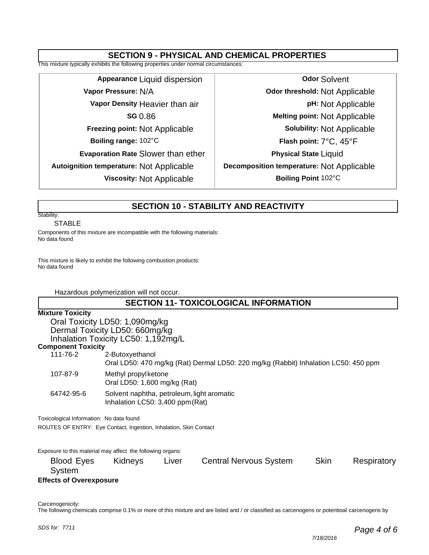#### **SECTION 9 - PHYSICAL AND CHEMICAL PROPERTIES**

This mixture typically exhibits the following properties under normal circumstances:

**Appearance** Liquid dispersion **Vapor Pressure:** N/A **Vapor Density** Heavier than air **SG** 0.86 **Freezing point:** Not Applicable **Boiling range:** 102°C **Evaporation Rate** Slower than ether **Autoignition temperature:** Not Applicable **Viscosity:** Not Applicable

**Odor** Solvent **Odor threshold:** Not Applicable **pH:** Not Applicable **Melting point:** Not Applicable **Solubility:** Not Applicable **Flash point:** 7°C, 45°F **Physical State** Liquid **Decomposition temperature:** Not Applicable **Boiling Point** 102°C

#### **SECTION 10 - STABILITY AND REACTIVITY**

#### Stability:

#### STABLE

Components of this mixture are incompatible with the following materials: No data found

This mixture is likely to exhibit the following combustion products: No data found

Hazardous polymerization will not occur.

#### **SECTION 11- TOXICOLOGICAL INFORMATION**

#### **Mixture Toxicity**

Oral Toxicity LD50: 1,090mg/kg Dermal Toxicity LD50: 660mg/kg Inhalation Toxicity LC50: 1,192mg/L

#### **Component Toxicity**

| IIIPUIIVIIL I UAIVILY<br>111-76-2     | 2-Butoxyethanol                                                                     |
|---------------------------------------|-------------------------------------------------------------------------------------|
|                                       | Oral LD50: 470 mg/kg (Rat) Dermal LD50: 220 mg/kg (Rabbit) Inhalation LC50: 450 ppm |
| 107-87-9                              | Methyl propylketone<br>Oral LD50: 1,600 mg/kg (Rat)                                 |
| 64742-95-6                            | Solvent naphtha, petroleum, light aromatic<br>Inhalation LC50: $3,400$ ppm (Rat)    |
| ioologiaal Information: No data found |                                                                                     |

Toxicological Information: No data found

ROUTES OF ENTRY: Eye Contact, Ingestion, Inhalation, Skin Contact

Exposure to this material may affect the following organs: Blood Eyes Kidneys Liver Central Nervous System Skin Respiratory System **Effects of Overexposure**

Carcenogenicity:

The following chemicals comprise 0.1% or more of this mixture and are listed and / or classified as carcenogens or potentioal carcenogens by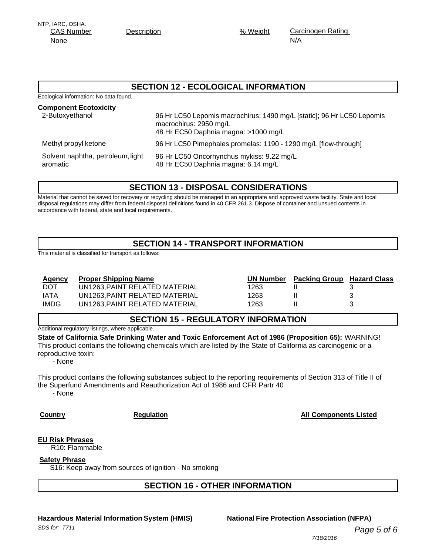| Hazardous Material Information System (HMIS) | <b>National Fire Protection Association (NFPA)</b> |
|----------------------------------------------|----------------------------------------------------|
| SDS for: T711                                | Page 5 of 6                                        |
|                                              | 7/18/2016                                          |
|                                              |                                                    |

# NTP, IARC, OSHA.

None

CAS Number Description Description 36 Weight

Carcinogen Rating N/A

#### **SECTION 12 - ECOLOGICAL INFORMATION**

Ecological information: No data found.

| <b>Component Ecotoxicity</b><br>2-Butoxyethanol | 96 Hr LC50 Lepomis macrochirus: 1490 mg/L [static]; 96 Hr LC50 Lepomis<br>macrochirus: 2950 mg/L<br>48 Hr EC50 Daphnia magna: >1000 mg/L |
|-------------------------------------------------|------------------------------------------------------------------------------------------------------------------------------------------|
| Methyl propyl ketone                            | 96 Hr LC50 Pimephales promelas: 1190 - 1290 mg/L [flow-through]                                                                          |
| Solvent naphtha, petroleum, light<br>aromatic   | 96 Hr LC50 Oncorhynchus mykiss: 9.22 mg/L<br>48 Hr EC50 Daphnia magna: 6.14 mg/L                                                         |

#### **SECTION 13 - DISPOSAL CONSIDERATIONS**

Material that cannot be saved for recovery or recycling should be managed in an appropriate and approved waste facility. State and local disposal regulations may differ from federal disposal definitions found in 40 CFR 261.3. Dispose of container and unsued contents in accordance with federal, state and local requirements.

### **SECTION 14 - TRANSPORT INFORMATION**

This material is classified for transport as follows:

#### **Agency Proper Shipping Name**

DOT UN1263,PAINT RELATED MATERIAL IATA UN1263, PAINT RELATED MATERIAL IMDG UN1263, PAINT RELATED MATERIAL

|      | <b>UN Number</b> Packing Group Hazard Class |   |
|------|---------------------------------------------|---|
| 1263 |                                             |   |
| 1263 |                                             | З |
| 1263 |                                             |   |

#### **SECTION 15 - REGULATORY INFORMATION**

Additional regulatory listings, where applicable.

**State of California Safe Drinking Water and Toxic Enforcement Act of 1986 (Proposition 65):** WARNING! This product contains the following chemicals which are listed by the State of California as carcinogenic or a reproductive toxin:

- None

This product contains the following substances subject to the reporting requirements of Section 313 of Title II of the Superfund Amendments and Reauthorization Act of 1986 and CFR Partr 40 - None

**SECTION 16 - OTHER INFORMATION**

**Country Country Country Regulation Regulation Country All Components Listed** 

**EU Risk Phrases** R10: Flammable

**Safety Phrase**

S16: Keep away from sources of ignition - No smoking